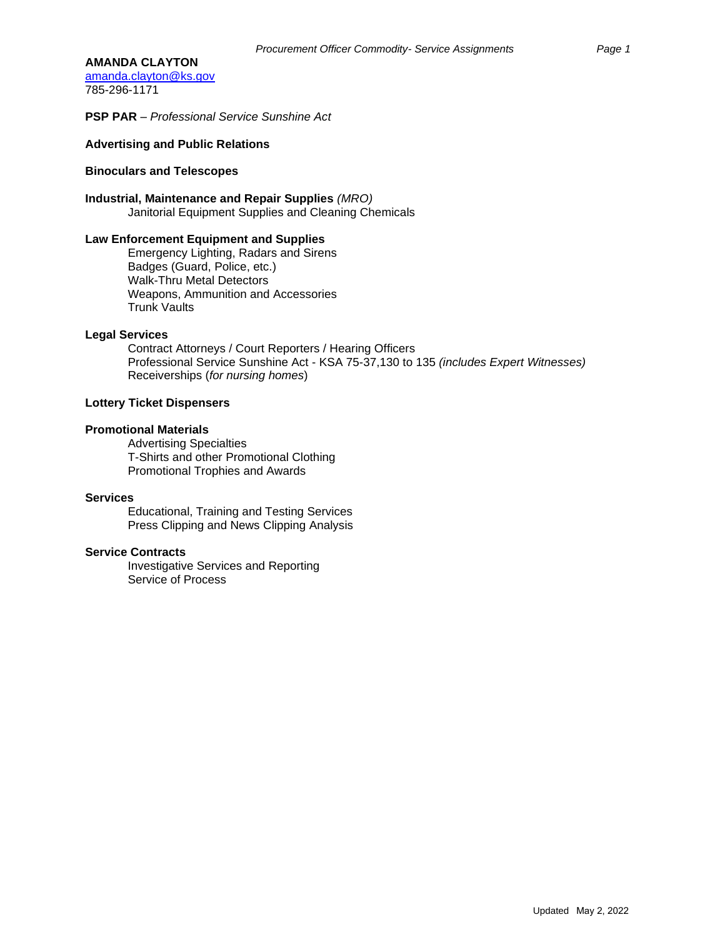#### **AMANDA CLAYTON**

[amanda.clayton@ks.gov](mailto:amanda.clayton@ks.gov) 785-296-1171

**PSP PAR** – *Professional Service Sunshine Act*

## **Advertising and Public Relations**

#### **Binoculars and Telescopes**

### **Industrial, Maintenance and Repair Supplies** *(MRO)*

Janitorial Equipment Supplies and Cleaning Chemicals

### **Law Enforcement Equipment and Supplies**

Emergency Lighting, Radars and Sirens Badges (Guard, Police, etc.) Walk-Thru Metal Detectors Weapons, Ammunition and Accessories Trunk Vaults

#### **Legal Services**

Contract Attorneys / Court Reporters / Hearing Officers Professional Service Sunshine Act - KSA 75-37,130 to 135 *(includes Expert Witnesses)*  Receiverships (*for nursing homes*)

## **Lottery Ticket Dispensers**

### **Promotional Materials**

Advertising Specialties T-Shirts and other Promotional Clothing Promotional Trophies and Awards

#### **Services**

Educational, Training and Testing Services Press Clipping and News Clipping Analysis

### **Service Contracts**

Investigative Services and Reporting Service of Process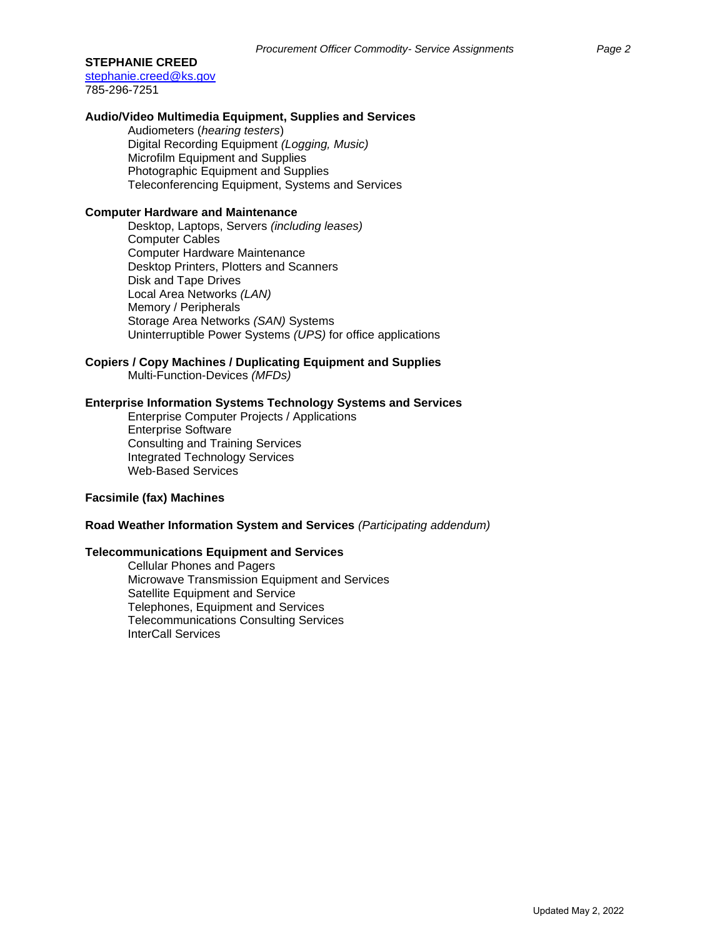## **STEPHANIE CREED**

[stephanie.creed@ks.gov](mailto:stephanie.creed@ks.gov) 785-296-7251

## **Audio/Video Multimedia Equipment, Supplies and Services**

Audiometers (*hearing testers*) Digital Recording Equipment *(Logging, Music)* Microfilm Equipment and Supplies Photographic Equipment and Supplies Teleconferencing Equipment, Systems and Services

## **Computer Hardware and Maintenance**

Desktop, Laptops, Servers *(including leases)*  Computer Cables Computer Hardware Maintenance Desktop Printers, Plotters and Scanners Disk and Tape Drives Local Area Networks *(LAN)*  Memory / Peripherals Storage Area Networks *(SAN)* Systems Uninterruptible Power Systems *(UPS)* for office applications

# **Copiers / Copy Machines / Duplicating Equipment and Supplies**

Multi-Function-Devices *(MFDs)*

# **Enterprise Information Systems Technology Systems and Services**

Enterprise Computer Projects / Applications Enterprise Software Consulting and Training Services Integrated Technology Services Web-Based Services

# **Facsimile (fax) Machines**

## **Road Weather Information System and Services** *(Participating addendum)*

# **Telecommunications Equipment and Services**

Cellular Phones and Pagers Microwave Transmission Equipment and Services Satellite Equipment and Service Telephones, Equipment and Services Telecommunications Consulting Services InterCall Services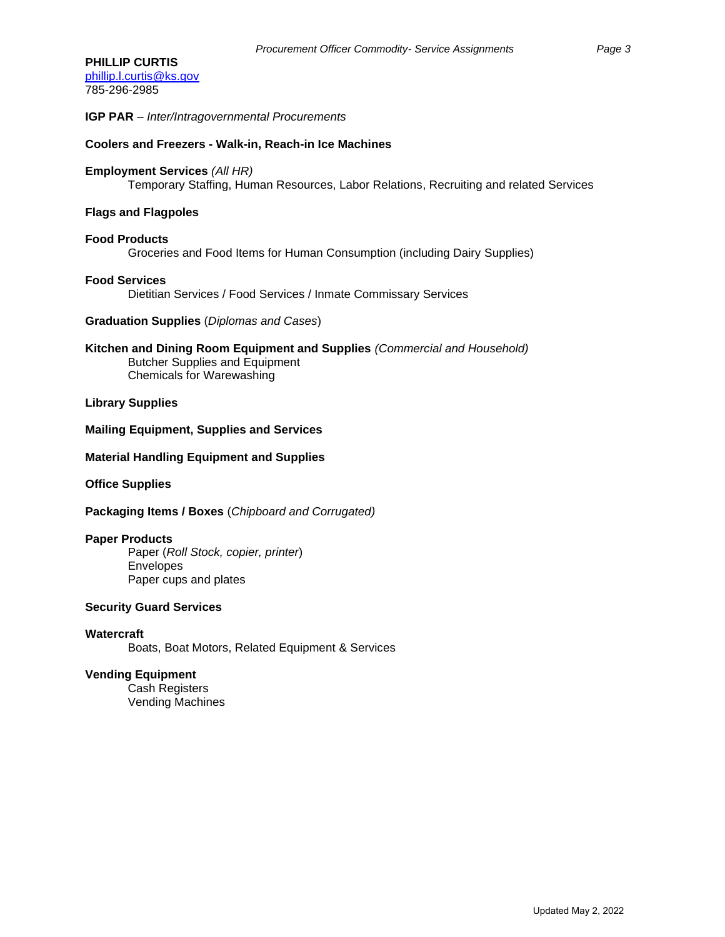**IGP PAR** – *Inter/Intragovernmental Procurements*

### **Coolers and Freezers - Walk-in, Reach-in Ice Machines**

## **Employment Services** *(All HR)*

Temporary Staffing, Human Resources, Labor Relations, Recruiting and related Services

### **Flags and Flagpoles**

#### **Food Products**

Groceries and Food Items for Human Consumption (including Dairy Supplies)

#### **Food Services**

Dietitian Services / Food Services / Inmate Commissary Services

## **Graduation Supplies** (*Diplomas and Cases*)

**Kitchen and Dining Room Equipment and Supplies** *(Commercial and Household)* Butcher Supplies and Equipment Chemicals for Warewashing

## **Library Supplies**

#### **Mailing Equipment, Supplies and Services**

#### **Material Handling Equipment and Supplies**

**Office Supplies**

**Packaging Items / Boxes** (*Chipboard and Corrugated)*

#### **Paper Products**

Paper (*Roll Stock, copier, printer*) Envelopes Paper cups and plates

## **Security Guard Services**

**Watercraft** Boats, Boat Motors, Related Equipment & Services

#### **Vending Equipment**

Cash Registers Vending Machines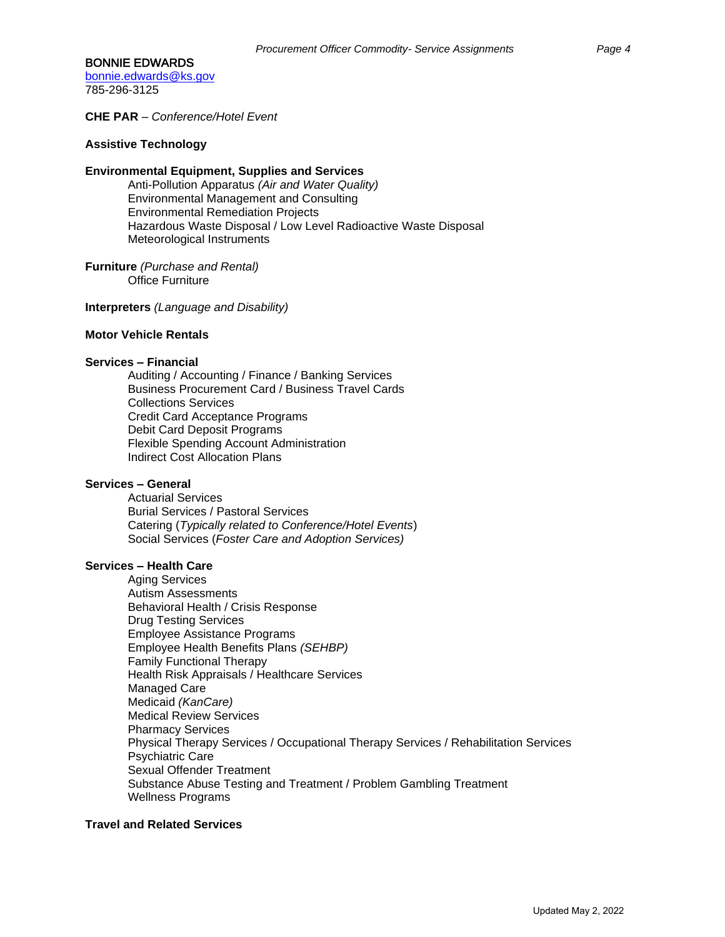## BONNIE EDWARDS

[bonnie.edwards@ks.gov](mailto:bonnie.edwards@ks.gov) 785-296-3125

**CHE PAR** – *Conference/Hotel Event*

# **Assistive Technology**

### **Environmental Equipment, Supplies and Services**

Anti-Pollution Apparatus *(Air and Water Quality)* Environmental Management and Consulting Environmental Remediation Projects Hazardous Waste Disposal / Low Level Radioactive Waste Disposal Meteorological Instruments

# **Furniture** *(Purchase and Rental)*

Office Furniture

**Interpreters** *(Language and Disability)* 

## **Motor Vehicle Rentals**

#### **Services – Financial**

Auditing / Accounting / Finance / Banking Services Business Procurement Card / Business Travel Cards Collections Services Credit Card Acceptance Programs Debit Card Deposit Programs Flexible Spending Account Administration Indirect Cost Allocation Plans

### **Services – General**

Actuarial Services Burial Services / Pastoral Services Catering (*Typically related to Conference/Hotel Events*) Social Services (*Foster Care and Adoption Services)*

### **Services – Health Care**

Aging Services Autism Assessments Behavioral Health / Crisis Response Drug Testing Services Employee Assistance Programs Employee Health Benefits Plans *(SEHBP)* Family Functional Therapy Health Risk Appraisals / Healthcare Services Managed Care Medicaid *(KanCare)* Medical Review Services Pharmacy Services Physical Therapy Services / Occupational Therapy Services / Rehabilitation Services Psychiatric Care Sexual Offender Treatment Substance Abuse Testing and Treatment / Problem Gambling Treatment Wellness Programs

## **Travel and Related Services**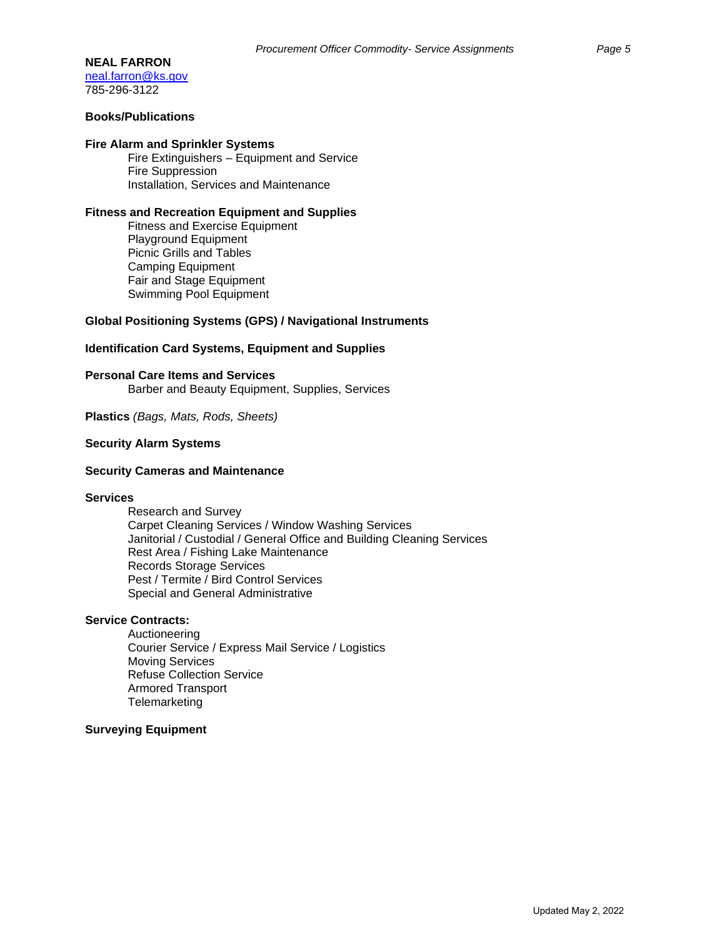## **NEAL FARRON**

[neal.farron@ks.gov](mailto:neal.farron@ks.gov) 785-296-3122

# **Books/Publications**

#### **Fire Alarm and Sprinkler Systems**

Fire Extinguishers – Equipment and Service Fire Suppression Installation, Services and Maintenance

#### **Fitness and Recreation Equipment and Supplies**

Fitness and Exercise Equipment Playground Equipment Picnic Grills and Tables Camping Equipment Fair and Stage Equipment Swimming Pool Equipment

### **Global Positioning Systems (GPS) / Navigational Instruments**

## **Identification Card Systems, Equipment and Supplies**

**Personal Care Items and Services**

Barber and Beauty Equipment, Supplies, Services

**Plastics** *(Bags, Mats, Rods, Sheets)*

### **Security Alarm Systems**

#### **Security Cameras and Maintenance**

#### **Services**

Research and Survey Carpet Cleaning Services / Window Washing Services Janitorial / Custodial / General Office and Building Cleaning Services Rest Area / Fishing Lake Maintenance Records Storage Services Pest / Termite / Bird Control Services Special and General Administrative

#### **Service Contracts:**

Auctioneering Courier Service / Express Mail Service / Logistics Moving Services Refuse Collection Service Armored Transport **Telemarketing** 

## **Surveying Equipment**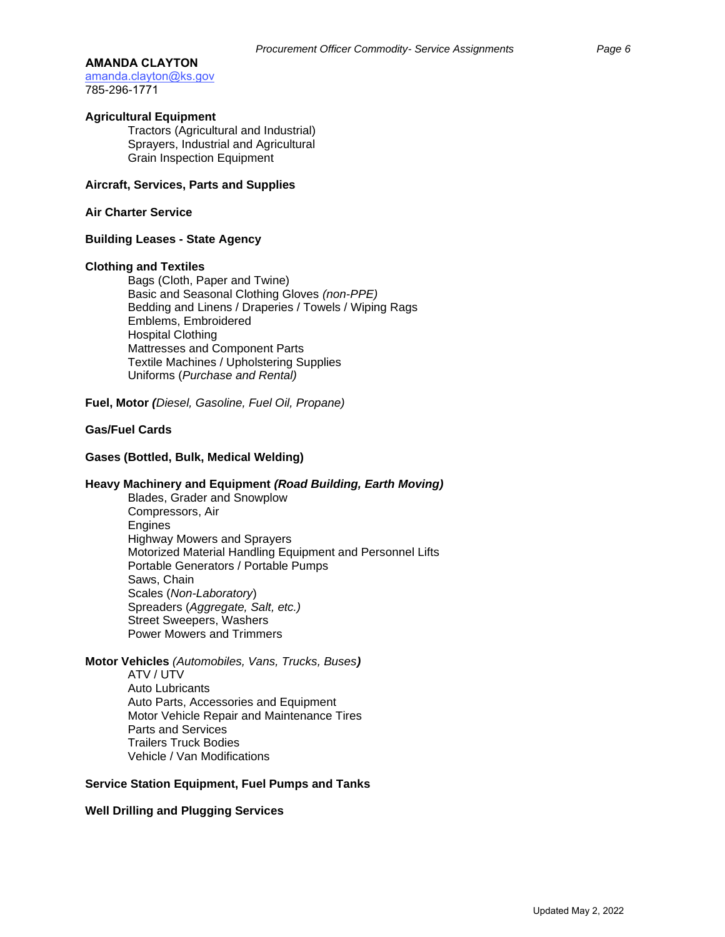#### **AMANDA CLAYTON**

[amanda.clayton@ks.gov](mailto:amanda.clayton@ks.gov) 785-296-1771

### **Agricultural Equipment**

Tractors (Agricultural and Industrial) Sprayers, Industrial and Agricultural Grain Inspection Equipment

### **Aircraft, Services, Parts and Supplies**

### **Air Charter Service**

## **Building Leases - State Agency**

#### **Clothing and Textiles**

Bags (Cloth, Paper and Twine) Basic and Seasonal Clothing Gloves *(non-PPE)* Bedding and Linens / Draperies / Towels / Wiping Rags Emblems, Embroidered Hospital Clothing Mattresses and Component Parts Textile Machines / Upholstering Supplies Uniforms (*Purchase and Rental)*

**Fuel, Motor** *(Diesel, Gasoline, Fuel Oil, Propane)*

# **Gas/Fuel Cards**

#### **Gases (Bottled, Bulk, Medical Welding)**

### **Heavy Machinery and Equipment** *(Road Building, Earth Moving)*

Blades, Grader and Snowplow Compressors, Air Engines Highway Mowers and Sprayers Motorized Material Handling Equipment and Personnel Lifts Portable Generators / Portable Pumps Saws, Chain Scales (*Non-Laboratory*) Spreaders (*Aggregate, Salt, etc.)* Street Sweepers, Washers Power Mowers and Trimmers

## **Motor Vehicles** *(Automobiles, Vans, Trucks, Buses)*

ATV / UTV Auto Lubricants Auto Parts, Accessories and Equipment Motor Vehicle Repair and Maintenance Tires Parts and Services Trailers Truck Bodies

Vehicle / Van Modifications

### **Service Station Equipment, Fuel Pumps and Tanks**

## **Well Drilling and Plugging Services**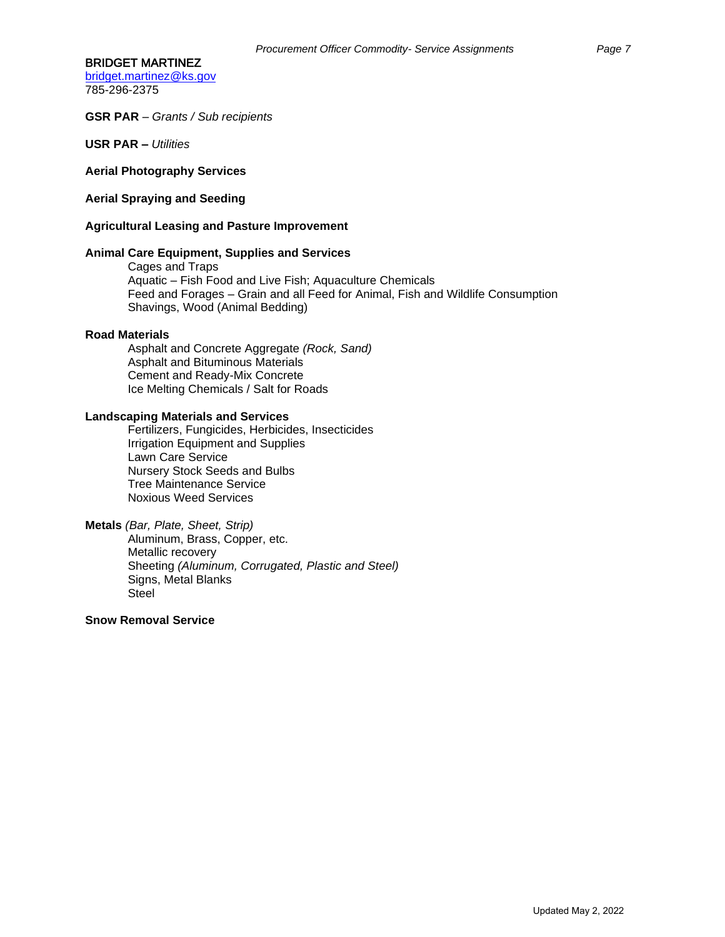#### BRIDGET MARTINEZ

[bridget.martinez@ks.gov](mailto:bridget.martinez@ks.gov) 785-296-2375

#### **GSR PAR** – *Grants / Sub recipients*

**USR PAR** *– Utilities*

#### **Aerial Photography Services**

## **Aerial Spraying and Seeding**

#### **Agricultural Leasing and Pasture Improvement**

## **Animal Care Equipment, Supplies and Services**

Cages and Traps Aquatic – Fish Food and Live Fish; Aquaculture Chemicals Feed and Forages – Grain and all Feed for Animal, Fish and Wildlife Consumption Shavings, Wood (Animal Bedding)

#### **Road Materials**

Asphalt and Concrete Aggregate *(Rock, Sand)* Asphalt and Bituminous Materials Cement and Ready-Mix Concrete Ice Melting Chemicals / Salt for Roads

# **Landscaping Materials and Services**

Fertilizers, Fungicides, Herbicides, Insecticides Irrigation Equipment and Supplies Lawn Care Service Nursery Stock Seeds and Bulbs Tree Maintenance Service Noxious Weed Services

### **Metals** *(Bar, Plate, Sheet, Strip)* Aluminum, Brass, Copper, etc. Metallic recovery Sheeting *(Aluminum, Corrugated, Plastic and Steel)*  Signs, Metal Blanks Steel

# **Snow Removal Service**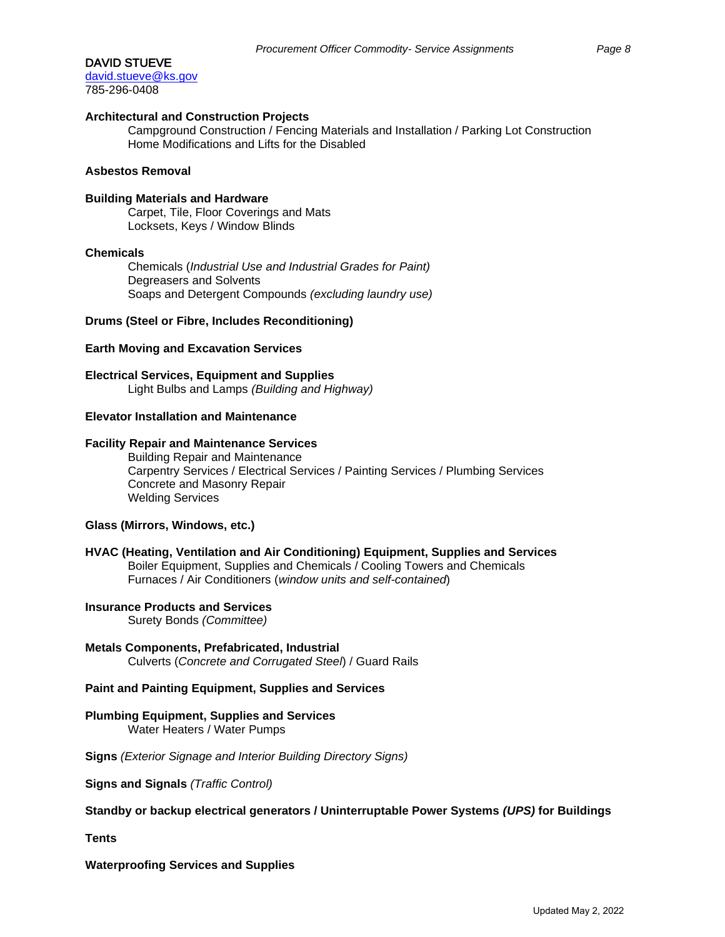### DAVID STUEVE

[david.stueve@ks.gov](mailto:david.stueve@ks.gov) 785-296-0408

## **Architectural and Construction Projects**

Campground Construction / Fencing Materials and Installation / Parking Lot Construction Home Modifications and Lifts for the Disabled

### **Asbestos Removal**

### **Building Materials and Hardware**

Carpet, Tile, Floor Coverings and Mats Locksets, Keys / Window Blinds

#### **Chemicals**

Chemicals (*Industrial Use and Industrial Grades for Paint)* Degreasers and Solvents Soaps and Detergent Compounds *(excluding laundry use)*

#### **Drums (Steel or Fibre, Includes Reconditioning)**

### **Earth Moving and Excavation Services**

**Electrical Services, Equipment and Supplies** Light Bulbs and Lamps *(Building and Highway)*

## **Elevator Installation and Maintenance**

### **Facility Repair and Maintenance Services**

Building Repair and Maintenance Carpentry Services / Electrical Services / Painting Services / Plumbing Services Concrete and Masonry Repair Welding Services

### **Glass (Mirrors, Windows, etc.)**

### **HVAC (Heating, Ventilation and Air Conditioning) Equipment, Supplies and Services** Boiler Equipment, Supplies and Chemicals / Cooling Towers and Chemicals Furnaces / Air Conditioners (*window units and self-contained*)

## **Insurance Products and Services**

Surety Bonds *(Committee)*

#### **Metals Components, Prefabricated, Industrial**

Culverts (*Concrete and Corrugated Steel*) / Guard Rails

# **Paint and Painting Equipment, Supplies and Services**

# **Plumbing Equipment, Supplies and Services** Water Heaters / Water Pumps

**Signs** *(Exterior Signage and Interior Building Directory Signs)*

**Signs and Signals** *(Traffic Control)*

## **Standby or backup electrical generators / Uninterruptable Power Systems** *(UPS)* **for Buildings**

**Tents**

**Waterproofing Services and Supplies**